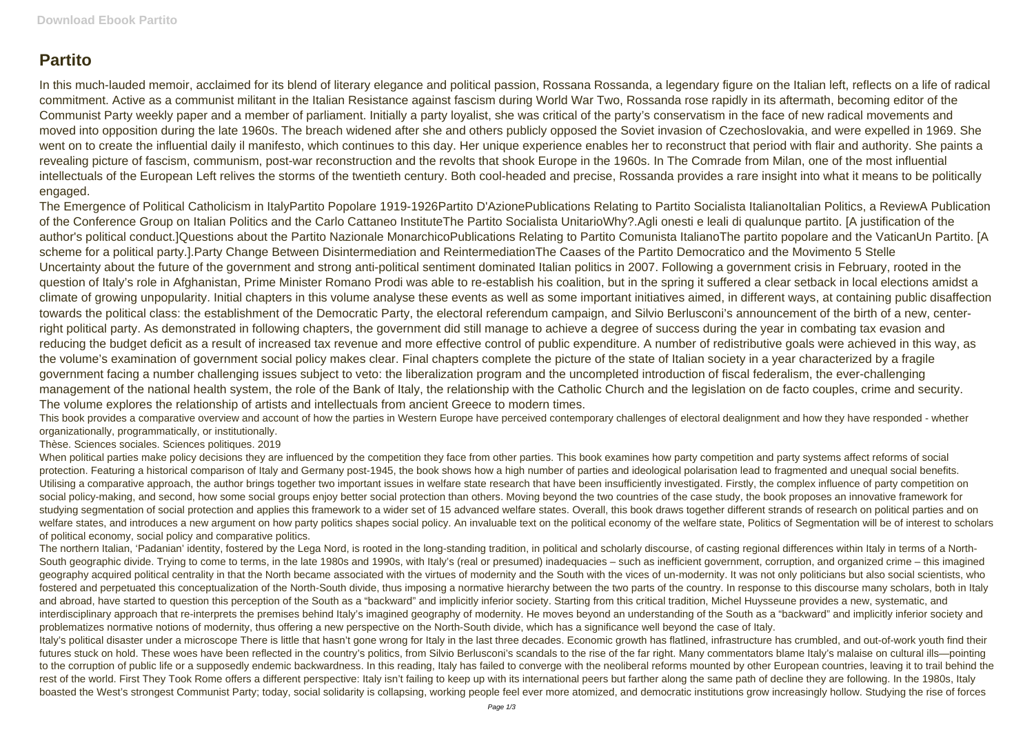## **Partito**

In this much-lauded memoir, acclaimed for its blend of literary elegance and political passion, Rossana Rossanda, a legendary figure on the Italian left, reflects on a life of radical commitment. Active as a communist militant in the Italian Resistance against fascism during World War Two, Rossanda rose rapidly in its aftermath, becoming editor of the Communist Party weekly paper and a member of parliament. Initially a party loyalist, she was critical of the party's conservatism in the face of new radical movements and moved into opposition during the late 1960s. The breach widened after she and others publicly opposed the Soviet invasion of Czechoslovakia, and were expelled in 1969. She went on to create the influential daily il manifesto, which continues to this day. Her unique experience enables her to reconstruct that period with flair and authority. She paints a revealing picture of fascism, communism, post-war reconstruction and the revolts that shook Europe in the 1960s. In The Comrade from Milan, one of the most influential intellectuals of the European Left relives the storms of the twentieth century. Both cool-headed and precise, Rossanda provides a rare insight into what it means to be politically engaged.

The Emergence of Political Catholicism in ItalyPartito Popolare 1919-1926Partito D'AzionePublications Relating to Partito Socialista ItalianoItalian Politics, a ReviewA Publication of the Conference Group on Italian Politics and the Carlo Cattaneo InstituteThe Partito Socialista UnitarioWhy?.Agli onesti e leali di qualunque partito. [A justification of the author's political conduct.]Questions about the Partito Nazionale MonarchicoPublications Relating to Partito Comunista ItalianoThe partito popolare and the VaticanUn Partito. [A scheme for a political party.].Party Change Between Disintermediation and ReintermediationThe Caases of the Partito Democratico and the Movimento 5 Stelle Uncertainty about the future of the government and strong anti-political sentiment dominated Italian politics in 2007. Following a government crisis in February, rooted in the question of Italy's role in Afghanistan, Prime Minister Romano Prodi was able to re-establish his coalition, but in the spring it suffered a clear setback in local elections amidst a climate of growing unpopularity. Initial chapters in this volume analyse these events as well as some important initiatives aimed, in different ways, at containing public disaffection towards the political class: the establishment of the Democratic Party, the electoral referendum campaign, and Silvio Berlusconi's announcement of the birth of a new, centerright political party. As demonstrated in following chapters, the government did still manage to achieve a degree of success during the year in combating tax evasion and reducing the budget deficit as a result of increased tax revenue and more effective control of public expenditure. A number of redistributive goals were achieved in this way, as the volume's examination of government social policy makes clear. Final chapters complete the picture of the state of Italian society in a year characterized by a fragile government facing a number challenging issues subject to veto: the liberalization program and the uncompleted introduction of fiscal federalism, the ever-challenging management of the national health system, the role of the Bank of Italy, the relationship with the Catholic Church and the legislation on de facto couples, crime and security. The volume explores the relationship of artists and intellectuals from ancient Greece to modern times.

When political parties make policy decisions they are influenced by the competition they face from other parties. This book examines how party competition and party systems affect reforms of social protection. Featuring a historical comparison of Italy and Germany post-1945, the book shows how a high number of parties and ideological polarisation lead to fragmented and unequal social benefits. Utilising a comparative approach, the author brings together two important issues in welfare state research that have been insufficiently investigated. Firstly, the complex influence of party competition on social policy-making, and second, how some social groups enjoy better social protection than others. Moving beyond the two countries of the case study, the book proposes an innovative framework for studying segmentation of social protection and applies this framework to a wider set of 15 advanced welfare states. Overall, this book draws together different strands of research on political parties and on welfare states, and introduces a new argument on how party politics shapes social policy. An invaluable text on the political economy of the welfare state, Politics of Segmentation will be of interest to scholars of political economy, social policy and comparative politics.

This book provides a comparative overview and account of how the parties in Western Europe have perceived contemporary challenges of electoral dealignment and how they have responded - whether organizationally, programmatically, or institutionally.

## Thèse. Sciences sociales. Sciences politiques. 2019

The northern Italian, 'Padanian' identity, fostered by the Lega Nord, is rooted in the long-standing tradition, in political and scholarly discourse, of casting regional differences within Italy in terms of a North-South geographic divide. Trying to come to terms, in the late 1980s and 1990s, with Italy's (real or presumed) inadequacies – such as inefficient government, corruption, and organized crime – this imagined geography acquired political centrality in that the North became associated with the virtues of modernity and the South with the vices of un-modernity. It was not only politicians but also social scientists, who fostered and perpetuated this conceptualization of the North-South divide, thus imposing a normative hierarchy between the two parts of the country. In response to this discourse many scholars, both in Italy and abroad, have started to question this perception of the South as a "backward" and implicitly inferior society. Starting from this critical tradition, Michel Huysseune provides a new, systematic, and interdisciplinary approach that re-interprets the premises behind Italy's imagined geography of modernity. He moves beyond an understanding of the South as a "backward" and implicitly inferior society and problematizes normative notions of modernity, thus offering a new perspective on the North-South divide, which has a significance well beyond the case of Italy. Italy's political disaster under a microscope There is little that hasn't gone wrong for Italy in the last three decades. Economic growth has flatlined, infrastructure has crumbled, and out-of-work youth find their futures stuck on hold. These woes have been reflected in the country's politics, from Silvio Berlusconi's scandals to the rise of the far right. Many commentators blame Italy's malaise on cultural ills—pointing to the corruption of public life or a supposedly endemic backwardness. In this reading, Italy has failed to converge with the neoliberal reforms mounted by other European countries, leaving it to trail behind the rest of the world. First They Took Rome offers a different perspective: Italy isn't failing to keep up with its international peers but farther along the same path of decline they are following. In the 1980s, Italy boasted the West's strongest Communist Party; today, social solidarity is collapsing, working people feel ever more atomized, and democratic institutions grow increasingly hollow. Studying the rise of forces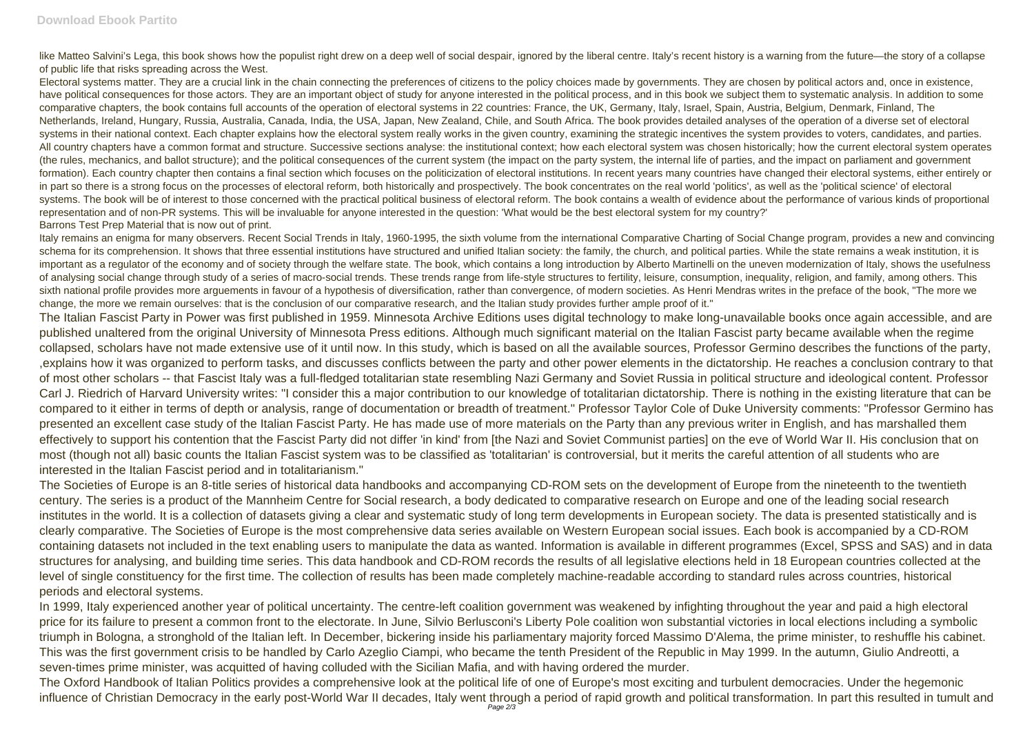like Matteo Salvini's Lega, this book shows how the populist right drew on a deep well of social despair, ignored by the liberal centre, Italy's recent history is a warning from the future—the story of a collapse of public life that risks spreading across the West.

Electoral systems matter. They are a crucial link in the chain connecting the preferences of citizens to the policy choices made by governments. They are chosen by political actors and, once in existence, have political consequences for those actors. They are an important object of study for anyone interested in the political process, and in this book we subject them to systematic analysis. In addition to some comparative chapters, the book contains full accounts of the operation of electoral systems in 22 countries: France, the UK, Germany, Italy, Israel, Spain, Austria, Belgium, Denmark, Finland, The Netherlands, Ireland, Hungary, Russia, Australia, Canada, India, the USA, Japan, New Zealand, Chile, and South Africa. The book provides detailed analyses of the operation of a diverse set of electoral systems in their national context. Each chapter explains how the electoral system really works in the given country, examining the strategic incentives the system provides to voters, candidates, and parties, All country chapters have a common format and structure. Successive sections analyse: the institutional context; how each electoral system was chosen historically; how the current electoral system operates (the rules, mechanics, and ballot structure); and the political consequences of the current system (the impact on the party system, the internal life of parties, and the impact on parliament and government formation). Each country chapter then contains a final section which focuses on the politicization of electoral institutions. In recent years many countries have changed their electoral systems, either entirely or in part so there is a strong focus on the processes of electoral reform, both historically and prospectively. The book concentrates on the real world 'politics', as well as the 'political science' of electoral systems. The book will be of interest to those concerned with the practical political business of electoral reform. The book contains a wealth of evidence about the performance of various kinds of proportional representation and of non-PR systems. This will be invaluable for anyone interested in the question: 'What would be the best electoral system for my country?' Barrons Test Prep Material that is now out of print.

Italy remains an enigma for many observers. Recent Social Trends in Italy, 1960-1995, the sixth volume from the international Comparative Charting of Social Change program, provides a new and convincing schema for its comprehension. It shows that three essential institutions have structured and unified Italian society: the family, the church, and political parties. While the state remains a weak institution, it is important as a regulator of the economy and of society through the welfare state. The book, which contains a long introduction by Alberto Martinelli on the uneven modernization of Italy, shows the usefulness of analysing social change through study of a series of macro-social trends. These trends range from life-style structures to fertility, leisure, consumption, inequality, religion, and family, among others. This sixth national profile provides more arguements in favour of a hypothesis of diversification, rather than convergence, of modern societies. As Henri Mendras writes in the preface of the book. "The more we change, the more we remain ourselves: that is the conclusion of our comparative research, and the Italian study provides further ample proof of it."

The Italian Fascist Party in Power was first published in 1959. Minnesota Archive Editions uses digital technology to make long-unavailable books once again accessible, and are published unaltered from the original University of Minnesota Press editions. Although much significant material on the Italian Fascist party became available when the regime collapsed, scholars have not made extensive use of it until now. In this study, which is based on all the available sources, Professor Germino describes the functions of the party, ,explains how it was organized to perform tasks, and discusses conflicts between the party and other power elements in the dictatorship. He reaches a conclusion contrary to that of most other scholars -- that Fascist Italy was a full-fledged totalitarian state resembling Nazi Germany and Soviet Russia in political structure and ideological content. Professor Carl J. Riedrich of Harvard University writes: "I consider this a major contribution to our knowledge of totalitarian dictatorship. There is nothing in the existing literature that can be compared to it either in terms of depth or analysis, range of documentation or breadth of treatment." Professor Taylor Cole of Duke University comments: "Professor Germino has presented an excellent case study of the Italian Fascist Party. He has made use of more materials on the Party than any previous writer in English, and has marshalled them effectively to support his contention that the Fascist Party did not differ 'in kind' from [the Nazi and Soviet Communist parties] on the eve of World War II. His conclusion that on most (though not all) basic counts the Italian Fascist system was to be classified as 'totalitarian' is controversial, but it merits the careful attention of all students who are interested in the Italian Fascist period and in totalitarianism."

The Societies of Europe is an 8-title series of historical data handbooks and accompanying CD-ROM sets on the development of Europe from the nineteenth to the twentieth century. The series is a product of the Mannheim Centre for Social research, a body dedicated to comparative research on Europe and one of the leading social research institutes in the world. It is a collection of datasets giving a clear and systematic study of long term developments in European society. The data is presented statistically and is clearly comparative. The Societies of Europe is the most comprehensive data series available on Western European social issues. Each book is accompanied by a CD-ROM containing datasets not included in the text enabling users to manipulate the data as wanted. Information is available in different programmes (Excel, SPSS and SAS) and in data structures for analysing, and building time series. This data handbook and CD-ROM records the results of all legislative elections held in 18 European countries collected at the level of single constituency for the first time. The collection of results has been made completely machine-readable according to standard rules across countries, historical periods and electoral systems.

In 1999, Italy experienced another year of political uncertainty. The centre-left coalition government was weakened by infighting throughout the year and paid a high electoral price for its failure to present a common front to the electorate. In June, Silvio Berlusconi's Liberty Pole coalition won substantial victories in local elections including a symbolic triumph in Bologna, a stronghold of the Italian left. In December, bickering inside his parliamentary majority forced Massimo D'Alema, the prime minister, to reshuffle his cabinet. This was the first government crisis to be handled by Carlo Azeglio Ciampi, who became the tenth President of the Republic in May 1999. In the autumn, Giulio Andreotti, a seven-times prime minister, was acquitted of having colluded with the Sicilian Mafia, and with having ordered the murder.

The Oxford Handbook of Italian Politics provides a comprehensive look at the political life of one of Europe's most exciting and turbulent democracies. Under the hegemonic influence of Christian Democracy in the early post-World War II decades, Italy went through a period of rapid growth and political transformation. In part this resulted in tumult and Page 2/3